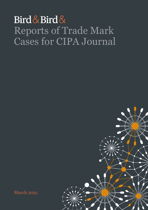## Bird & Bird & Reports of Trade Mark Cases for CIPA Journal



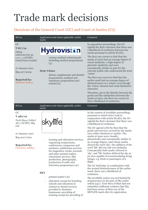# Trade mark decisions

## Decisions of the General Court (GC) and Court of Justice (CJ)

| Ref no.                                                                                                                                                                  | Application (and where applicable, earlier<br>mark)                                                                                                                                                                                                                                                           | Comment                                                                                                                                                                                                                                                                                                                                                                                                                                                                                                                                                                                                          |
|--------------------------------------------------------------------------------------------------------------------------------------------------------------------------|---------------------------------------------------------------------------------------------------------------------------------------------------------------------------------------------------------------------------------------------------------------------------------------------------------------|------------------------------------------------------------------------------------------------------------------------------------------------------------------------------------------------------------------------------------------------------------------------------------------------------------------------------------------------------------------------------------------------------------------------------------------------------------------------------------------------------------------------------------------------------------------------------------------------------------------|
| GC<br>$T-817/19$<br>Olimp<br>Laboratories sp.<br>z o.o., v EUIPO;<br><b>OmniVision GmbH</b><br>27 January 2021<br>Reg 207/2009<br><b>Reported by:</b><br>Rebekah Sellars | <b>Hydrovision</b><br>various medical related goods<br>including medical preparations<br>(5)<br><b>Hylo-Vision</b><br>dietary supplements and dietetic<br>preparations; medical and<br>veterinary preparations and<br>articles'(5)                                                                            | In opposition proceedings, the GC<br>upheld the BoA's decision that there was<br>a likelihood of confusion between the<br>marks pursuant to article $8(1)(b)$ .<br>The BoA was correct to find that the<br>marks at issue had an average degree of<br>visual similarity, a high degree of<br>phonetic similarity and were<br>conceptually similar in part for the<br>relevant public who understood the term<br>'vision'.<br>The BoA was correct to find that the<br>earlier mark had an average degree of<br>distinctiveness as a whole, even though<br>the 'vision' element had weak distinctive<br>character. |
|                                                                                                                                                                          |                                                                                                                                                                                                                                                                                                               | Therefore, given the identity between the<br>goods and the similarities between the<br>marks at issue, the BoA was correct to<br>find a likelihood of confusion.                                                                                                                                                                                                                                                                                                                                                                                                                                                 |
| Ref no.                                                                                                                                                                  | Application (and where applicable, earlier<br>mark)                                                                                                                                                                                                                                                           | Comment                                                                                                                                                                                                                                                                                                                                                                                                                                                                                                                                                                                                          |
| GC<br>$T-382/19$<br>Turk Hava Yollari<br>AO v EUIPO; Sky                                                                                                                 |                                                                                                                                                                                                                                                                                                               | In the context of invalidity proceedings<br>pursuant to article 60(1) read in<br>conjunction with article $8(1)(b)$ , the GC<br>upheld the BoA's decision that there was                                                                                                                                                                                                                                                                                                                                                                                                                                         |
|                                                                                                                                                                          |                                                                                                                                                                                                                                                                                                               |                                                                                                                                                                                                                                                                                                                                                                                                                                                                                                                                                                                                                  |
| Ltd<br>27 January 2021<br>Reg 2017/1001<br><b>Reported by:</b><br><b>Charlotte Addley</b>                                                                                | training and education services,<br>organising symposiums,<br>conferences, congresses and<br>seminars, publication services<br>for magazines, books, journals<br>and other printed matter,<br>entertainer services, film<br>production, photography,<br>production of radio and<br>television programmes (41) | a likelihood of confusion.<br>The GC agreed with the BoA that the<br>goods and services covered by the marks<br>were either identical or similar. The<br>marks at issue were visually,<br>phonetically and conceptually similar to<br>an average degree, since those marks<br>shared the word 'sky'; the addition of the<br>word 'life' did not rule out similarity.<br>Conceptually both marks referred to<br>'sky', and 'life' further defined the sky as<br>an area capable of accommodating living<br>beings, e.g. birds or passengers of a<br>flight.<br>The GC held that, in combination with              |

The invalidity action was not limited by acquiescence on the part of Sky under article 54(1). Turk Hava Yollari had not submitted sufficient evidence that Sky had been aware of their use of the SKYLIFE mark after its registration.

printed matter (16)

− education except for boarding schools and education in relation to dental services provided to dentistry

businesses; providing of training except for providing of

1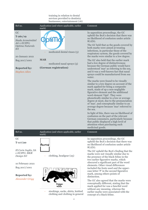#### training in relation to dental services provided to dentistry businesses; entertainment (16)

| Ref no.                                                                                                                                                              | Application (and where applicable, earlier<br>mark)                                              | Comment                                                                                                                                                                                                                                                                                                                                                                                                                                                                                                                                                                                                                                                                                                                                                                                                                                                                                                                                                                                                                                                                                                                                                                                                                                                                                                |
|----------------------------------------------------------------------------------------------------------------------------------------------------------------------|--------------------------------------------------------------------------------------------------|--------------------------------------------------------------------------------------------------------------------------------------------------------------------------------------------------------------------------------------------------------------------------------------------------------------------------------------------------------------------------------------------------------------------------------------------------------------------------------------------------------------------------------------------------------------------------------------------------------------------------------------------------------------------------------------------------------------------------------------------------------------------------------------------------------------------------------------------------------------------------------------------------------------------------------------------------------------------------------------------------------------------------------------------------------------------------------------------------------------------------------------------------------------------------------------------------------------------------------------------------------------------------------------------------------|
| GC<br>$T - 261/19$<br>Stada Arzneimittel<br>AG v EUIPO;<br>Optima Naturals<br>Srl<br>20 January 2021<br>Reg 2017/1001<br><b>Reported by:</b><br><b>Stephen Allen</b> | medicated dental rinses (5)<br><b>MAR</b><br>medicated nasal sprays (5)<br>(German registration) | In opposition proceedings, the GC<br>upheld the BoA's decision that there was<br>no likelihood of confusion under article<br>$8(1)(b)$ .<br>The GC held that as the goods covered by<br>both marks were aimed at treating<br>infections, in particular those of the<br>respiratory system, the goods covered by<br>the marks were similar to a low degree.<br>The GC also held that the earlier mark<br>had a low degree of distinctiveness<br>because the German public would have<br>understood 'mar' as referring to the sea,<br>and it was a well-known fact that nasal<br>sprays could be manufactured from sea<br>water.<br>The marks were found to be visually<br>similar to a low degree on account of the<br>mark applied for being a composite<br>mark, made of up a non-negligible<br>figurative element and the additional<br>word element 'Opti'. They were<br>phonetically similar to a low or average<br>degree at most, due to the pronunciation<br>of 'mar', and conceptually similar to an<br>average degree because 'mar' referred to<br>the sea.<br>In light of this, there was no likelihood of<br>confusion on the part of the relevant<br>German consumers, particularly because<br>that public displayed a high level of<br>attention when purchasing such<br>medicinal goods. |
| Ref no.                                                                                                                                                              | Application (and where applicable, earlier<br>mark)                                              | Comment                                                                                                                                                                                                                                                                                                                                                                                                                                                                                                                                                                                                                                                                                                                                                                                                                                                                                                                                                                                                                                                                                                                                                                                                                                                                                                |
| GC<br>$T-117/20$<br>El Corte Inglés, SA<br>v EUIPO; MKR<br>Design Srl<br>10 February 2021<br>Reg 2017/1001<br><b>Reported by:</b><br><b>Alexander Grigg</b>          | Panthé<br>clothing, headgear (25)                                                                | In opposition proceedings, the GC<br>upheld the BoA's decision that there was<br>no likelihood of confusion under article<br>$8(1)(b)$ .<br>The GC upheld the BoA's finding that the<br>marks were not visually similar due to<br>the presence of the black feline in the<br>two earlier figurative marks, which<br>obscured a significant part of the word<br>elements. Other visual differences<br>included the fonts used and the upper-<br>case letter 'P' in the second figurative<br>mark, among others points of<br>distinction.<br>The GC also agreed that the marks were<br>conceptually different, stating that the<br>mark applied for was a fanciful word<br>without any meaning, whereas the                                                                                                                                                                                                                                                                                                                                                                                                                                                                                                                                                                                              |
|                                                                                                                                                                      | stockings, socks, shirts, knitted<br>clothing and clothing in general                            | earlier marks were associated with the<br>concept of a black feline.                                                                                                                                                                                                                                                                                                                                                                                                                                                                                                                                                                                                                                                                                                                                                                                                                                                                                                                                                                                                                                                                                                                                                                                                                                   |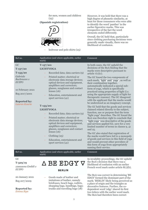for men, women and children (25)

### **(Spanish registration)**



knitwear and polo shirts (25)

However, it was held that there was a high degree of phonetic similarity, at least for those consumers who were able to identify the word 'panther' in the earlier figurative marks. This was irrespective of the fact the word elements ended differently.

Overall, the GC held that, particularly since clothing purchasing decisions were generally made visually, there was no likelihood of confusion.

| Ref no.                                                                                                                                               | Application (and where applicable, earlier<br>mark)                                                                                                                                                                                                                                                                                                                                                                                                                                                   | Comment                                                                                                                                                                                                                                                                                                                                                                                                                                                                                                                                                                                                                                                                                                                                                                                                                                                                               |
|-------------------------------------------------------------------------------------------------------------------------------------------------------|-------------------------------------------------------------------------------------------------------------------------------------------------------------------------------------------------------------------------------------------------------------------------------------------------------------------------------------------------------------------------------------------------------------------------------------------------------------------------------------------------------|---------------------------------------------------------------------------------------------------------------------------------------------------------------------------------------------------------------------------------------------------------------------------------------------------------------------------------------------------------------------------------------------------------------------------------------------------------------------------------------------------------------------------------------------------------------------------------------------------------------------------------------------------------------------------------------------------------------------------------------------------------------------------------------------------------------------------------------------------------------------------------------|
| GC<br>$T-157/20$<br>$T-153/20$<br>Gabriele<br>Bachmann v<br><b>EUIPO</b><br>10 February 2021<br>Reg 2017/2001<br><b>Reported by:</b><br>Lauren Kourie | $T-157/20$ :<br><b>LICHTYOGA</b><br>Recorded data; data carriers (9)<br>Printed matter; electrical or<br>electronic data storage devices;<br>optical devices and equipment,<br>amplifiers and correctors;<br>glasses, sunglasses and contact<br>lenses $(16)$<br>Education, entertainment and<br>sport services $(41)$<br>$T-153/20$ :<br><b>LIGHTYOGA</b><br>Recorded data; data carriers (9)<br>Printed matter; electrical or<br>electronic data storage devices;<br>optical devices and equipment, | In both cases, the GC upheld the<br>decisions of the BoA finding that the<br>marks were descriptive pursuant to<br>article $7(1)(c)$ .<br>The GC found the two components of<br>each mark, "light" and "yoga", as well as<br>their combination together,<br>automatically indicated a special sub-<br>form of yoga, which is specifically<br>practiced using properties of light (i.e.<br>using the appropriate supply of light for<br>therapeutic reasons). The GC disagreed<br>with the applicant that the marks would<br>be understood as an imaginary concept.<br>The GC held that the goods and services<br>claimed related directly to the subject,<br>function, use or purpose that the term<br>"light yoga" describes. The GC found the<br>BoA was therefore right to conclude that<br>"light yoga" was descriptive of the goods<br>and services applied for, save for a very |
| Ref no.                                                                                                                                               | amplifiers and correctors;<br>glasses, sunglasses and contact<br>lenses $(16)$<br>Clothing $(25)$<br>Education, entertainment and<br>sport services $(41)$<br>Application (and where applicable, earlier                                                                                                                                                                                                                                                                                              | limited number of terms in classes 9, 41<br>and 25.<br>The GC also stated that registration of<br>the marks would have led to a monopoly<br>of goods and services in this field of yoga<br>and would prevent other providers of<br>this form of yoga from appropriately<br>naming their service.<br>Comment                                                                                                                                                                                                                                                                                                                                                                                                                                                                                                                                                                           |
|                                                                                                                                                       | mark)                                                                                                                                                                                                                                                                                                                                                                                                                                                                                                 |                                                                                                                                                                                                                                                                                                                                                                                                                                                                                                                                                                                                                                                                                                                                                                                                                                                                                       |
| GC<br>$T-329/19$<br>12seasons GmbH v<br><b>EUIPO</b>                                                                                                  | ∆ BE EDGY V<br><b>BERLIN</b>                                                                                                                                                                                                                                                                                                                                                                                                                                                                          | In invalidity proceedings, the GC upheld<br>the BoA's decision that there was a<br>likelihood of confusion with an earlier<br>French word mark under article $8(1)(b)$ .                                                                                                                                                                                                                                                                                                                                                                                                                                                                                                                                                                                                                                                                                                              |
| 20 January 2021<br>Reg 207/2009<br><b>Reported by:</b><br>Emma Ikpe                                                                                   | Goods made of leather and<br>imitations of leather, namely<br>briefcases, beach bags, wallets,<br>shopping bags, handbags, bags;<br>trunks and travelling bags (18)                                                                                                                                                                                                                                                                                                                                   | The BoA was correct in determining 'BE<br>EDGY' formed the dominant part of the<br>mark; 'BERLIN' likely being perceived as<br>a place of origin and the triangles as<br>decorative features. Further, the co-<br>dependent word 'edgy' shared its first<br>two letters with the earlier word mark.<br>The BoA had therefore been correct                                                                                                                                                                                                                                                                                                                                                                                                                                                                                                                                             |
|                                                                                                                                                       | 3                                                                                                                                                                                                                                                                                                                                                                                                                                                                                                     |                                                                                                                                                                                                                                                                                                                                                                                                                                                                                                                                                                                                                                                                                                                                                                                                                                                                                       |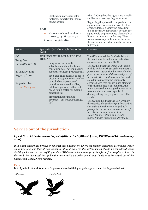− Clothing, in particular belts; footwear, in particular insoles; headgear (25)

#### **EDJI**

Various goods and services in classes 9, 14, 18, 25 and 35

#### **(French registration)**

when finding that the signs were visually similar to an average degree at most.

Regarding the phonetic comparison, the signs at issue were similar to at least an average degree, despite the preceding 'BE' in the mark applied for, because the signs would be pronounced identically in French or in a very similar way. They were also conceptually similar because the earlier mark had no specific meaning in French.

| Ref no.                                                                                                               | Application (and where applicable, earlier<br>mark)                                                                                                                                                                                                                                                                                                                                                                                                                                    | Comment                                                                                                                                                                                                                                                                                                                                                                                                                                                                                                                                                                                                                                                                                                                                                                                                                                                                                           |
|-----------------------------------------------------------------------------------------------------------------------|----------------------------------------------------------------------------------------------------------------------------------------------------------------------------------------------------------------------------------------------------------------------------------------------------------------------------------------------------------------------------------------------------------------------------------------------------------------------------------------|---------------------------------------------------------------------------------------------------------------------------------------------------------------------------------------------------------------------------------------------------------------------------------------------------------------------------------------------------------------------------------------------------------------------------------------------------------------------------------------------------------------------------------------------------------------------------------------------------------------------------------------------------------------------------------------------------------------------------------------------------------------------------------------------------------------------------------------------------------------------------------------------------|
| GC<br>$T - 253/20$<br>Oatly AB v EUIPO<br>20 January 2021<br>Reg 2017/1001<br><b>Reported by:</b><br>Carina Rodriguez | <b>IT'S LIKE MILK BUT MADE FOR</b><br><b>HUMANS</b><br>dairy substitutes; milk<br>substitutes; milk substitutes<br>containing oats; oat milk; dairy<br>substitutes cheese products (29)<br>oat-based cake mixes, oat-based<br>biscuit mixes; pancakes; waffles;<br>pancake batter; oat-based<br>pancakes; oat-based waffles;<br>oat-based pancake batter; oat-<br>based liquid batter for making<br>pancakes (30)<br>preparations for making<br>beverages; oat-based beverages<br>(32) | The GC annulled the BoA's decision that<br>the mark was devoid of any distinctive<br>character under article $7(1)(b)$ .<br>The GC held that the <i>word "but"</i> in the<br>middle of the mark caused consumers to<br>perceive an opposition between the first<br>part of the mark and the second part of<br>the mark. The result was that the mark<br>called into question the commonly<br>accepted idea that milk is a key element<br>of the human diet. Consequently, the<br>mark conveyed a message that was easy<br>to remember and was capable of<br>distinguishing Oatly's goods from other<br>goods.<br>The GC also held that the BoA wrongly<br>disregarded the evidence put forward by<br>Oatly showing the relevant public's<br>perception of the mark in territories of<br>the EU (including Denmark, the<br>Netherlands, Finland and Sweden)<br>where English is widely understood. |

### **Service out of the jurisdiction**

#### *Lyle & Scott Ltd v American Eagle Outfitters, Inc\** **(Miles J; [2021] EWHC 90 (Ch); 20 January 2021)**

*In a claim concerning breach of contract and passing off, where the former concerned a contract whose governing law was that of Pennsylvania, Miles J explored the factors which should be considered when deciding whether the courts of England and Wales were the most appropriate forum for bringing a claim. In the result, he dismissed the application to set aside an order permitting the claim to be served out of the jurisdiction. Zara Dheera reports.*

#### Facts

Both Lyle & Scott and American Eagle use a branded flying eagle image on their clothing (see below).

L & S's Eagle

 $AE's$  eagle

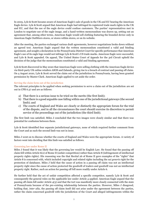In 2005, Lyle & Scott became aware of American Eagle's sale of goods in the UK and EU bearing the American Eagle device. Lyle & Scott argued that American Eagle had infringed its registered trade mark rights in the UK and EU, and that the use of the eagle device could confuse customers. The parties' representatives met in London to negotiate use of the eagle image, and a hand-written memorandum was drawn up, setting out an agreement that, among other terms, American Eagle would sell clothing featuring the branded device only in American Eagle Outfitters stores, or stores within stores, or on its website.

After the meeting, the parties exchanged various draft agreements, however negotiations broke down without an agreed text. American Eagle argued that the written memorandum constituted a valid and binding agreement, and sought a declaration in the Pennsylvania District Court for specific performance that American Eagle's use of its eagle logo would not infringe Lyle & Scott's US trade marks. American Eagle were successful, and Lyle & Scott appealed. On appeal, The United States Court of Appeals for the 3rd Circuit upheld the decision of the judge that the memorandum constituted a valid and binding agreement.

Lyle & Scott discovered in May 2020 that American Eagle were selling clothing with the American Eagle device via third-party UK online retailers ASOS and Zalando, giving rise to a breach of contract and passing off claim. On 4 August 2020, Lyle & Scott served the claim out of the jurisdiction in Pennsylvania, having been granted permission by Master Clark. American Eagle applied to set aside the order.

#### Serving the claim form out of the jurisdiction

The relevant principles to be applied when seeking permission to serve a claim out of the jurisdiction are set out in CPR 6.37 and are as follows:

- a) That there is a serious issue to be tried on the merits (the first limb);
- b) That there is a good arguable case falling within one of the jurisdictional gateways (the second limb); and
- c) The courts of England and Wales are clearly or distinctly the appropriate forum for the trial of the dispute, and in all the circumstances the court should exercise its discretion to permit service of the proceedings out of the jurisdiction (the third limb).

The first limb was satisfied; Miles J concluded that the two images were closely similar and that there was potential for confusion between them.

Lyle & Scott identified four separate jurisdictional gateways, none of which required further comment from the Court and as such the second limb was not in issue.

Miles J went on to discuss whether the courts of England and Wales were the appropriate forum. A variety of factors went into deciding that this limb was satisfied as follows.

#### Governing law under Rome II

Miles J found that it was likely that the governing law would be English Law. He found that the passing off claim fell within Article 6(2) of Rome II (unfair competition) rather than Article 8 (infringement of intellectual property rights rights). His reasoning was the that Recital 26 of Rome II gave examples of the "rights" that Article 8 is concerned with, which included copyright and related rights including the *sui generis* right for the protection of databases. Miles J held that the cause of action in a passing off claim was not an intellectual property right since the cause of action protected the goodwill of traders and goodwill was not an intellectual property right. Rather, such an action for passing off fell more readily under Article 6.

He further held that the act of unfair competition affected a specific competitor, namely Lyle & Scott and consequently the general rules on the applicable law under Article 4 applied. American Eagle argued that the passing off claim fell under Article 4(3) and that the tort was manifestly more closely connected with the state of Pennsylvania because of the pre-existing relationship between the parties. However, Miles J disagreed, holding that, *inter alia*, the passing off claim itself did not arise under the agreement between the parties, rather the claim concerned goodwill with the jurisdiction of the Court and alleged infringements within the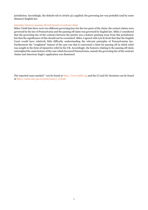jurisdiction. Accordingly, the default rule in Article 4(1) applied; the governing law was probably (and by some distance) English law.

#### Interplay between passing off and breach of contract claim

Miles J held that there were two different governing laws for the two parts of the claim; the contact claims were governed by the law of Pennsylvania and the passing off claim was governed by English law. Miles J considered that the governing law of the contract between the parties was a feature pointing away from this jurisdiction but that the significance of this should not be overstated. Miles J agreed with Lyle & Scott that that the English Court would have relatively little difficulty understanding the relevant principles of Pennsylvanian law. Furthermore the "weightiest" feature of the case was that it concerned a claim for passing off in which relief was sought in the form of injunctive relief in the UK. Accordingly, the features relating to the passing off claim outweighed the main feature of the case which favoured Pennsylvania, namely the governing law of the contract claims and American Eagle's application was dismissed.

The reported cases marked \* can be found at http://www.bailii.org and the CJ and GC decisions can be found at http://curia.euro pa.eu/jcms/jcms/j\_6/hom